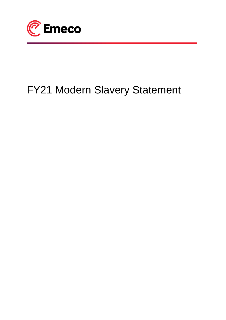

# FY21 Modern Slavery Statement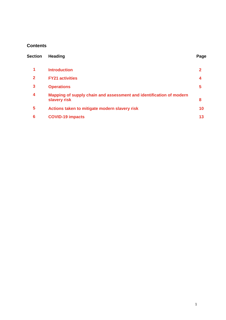# **Contents**

| <b>Section</b> | <b>Heading</b>                                                                      | Page |
|----------------|-------------------------------------------------------------------------------------|------|
| 1              | <b>Introduction</b>                                                                 | 2    |
| $\mathbf{2}$   | <b>FY21 activities</b>                                                              | 4    |
| 3              | <b>Operations</b>                                                                   | 5    |
| 4              | Mapping of supply chain and assessment and identification of modern<br>slavery risk | 8    |
| 5              | Actions taken to mitigate modern slavery risk                                       | 10   |
| 6              | <b>COVID-19 impacts</b>                                                             | 13   |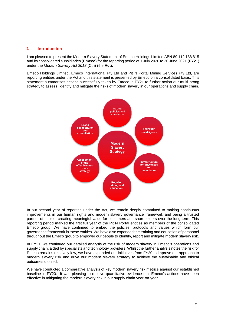## <span id="page-2-0"></span>**1 Introduction**

I am pleased to present the Modern Slavery Statement of Emeco Holdings Limited ABN 89 112 188 815 and its consolidated subsidiaries (**Emeco**) for the reporting period of 1 July 2020 to 30 June 2021 (**FY21**) under the *Modern Slavery Act 2018* (Cth) (the **Act**).

Emeco Holdings Limited, Emeco International Pty Ltd and Pit N Portal Mining Services Pty Ltd, are reporting entities under the Act and this statement is presented by Emeco on a consolidated basis. This statement summarises actions successfully taken by Emeco in FY21 to further action our multi-prong strategy to assess, identify and mitigate the risks of modern slavery in our operations and supply chain.



In our second year of reporting under the Act, we remain deeply committed to making continuous improvements in our human rights and modern slavery governance framework and being a trusted partner of choice, creating meaningful value for customers and shareholders over the long term. This reporting period marked the first full year of the Pit N Portal entities as members of the consolidated Emeco group. We have continued to embed the policies, protocols and values which form our governance framework in these entities. We have also expanded the training and education of personnel throughout the Emeco group to empower our people to identify, report and mitigate modern slavery risk.

In FY21, we continued our detailed analysis of the risk of modern slavery in Emeco's operations and supply chain, aided by specialists and technology providers. Whilst the further analysis notes the risk for Emeco remains relatively low, we have expanded our initiatives from FY20 to improve our approach to modern slavery risk and drive our modern slavery strategy to achieve the sustainable and ethical outcomes desired.

We have conducted a comparative analysis of key modern slavery risk metrics against our established baseline in FY20. It was pleasing to receive quantitative evidence that Emeco's actions have been effective in mitigating the modern slavery risk in our supply chain year-on-year.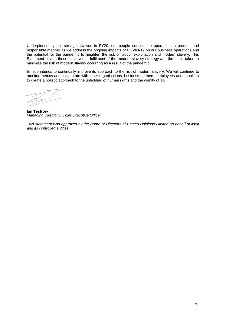Underpinned by our strong initiatives in FY20, our people continue to operate in a prudent and responsible manner as we address the ongoing impacts of COVID-19 on our business operations and the potential for the pandemic to heighten the risk of labour exploitation and modern slavery. This Statement covers these initiatives in fulfilment of the modern slavery strategy and the steps taken to minimise the risk of modern slavery occurring as a result of the pandemic.

Emeco intends to continually improve its approach to the risk of modern slavery. We will continue to monitor metrics and collaborate with other organisations, business partners, employees and suppliers to create a holistic approach to the upholding of human rights and the dignity of all.

**Ian Testrow** *Managing Director & Chief Executive Officer*

*This statement was approved by the Board of Directors of Emeco Holdings Limited on behalf of itself and its controlled entities.*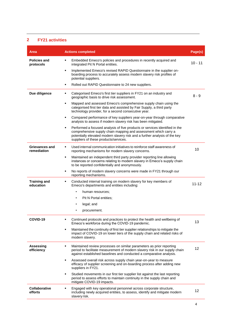## **2 FY21 activities**

| Area                             | <b>Actions completed</b>                                                                                                                                                                                                                                                   | Page(s)   |
|----------------------------------|----------------------------------------------------------------------------------------------------------------------------------------------------------------------------------------------------------------------------------------------------------------------------|-----------|
| <b>Policies and</b><br>protocols | Embedded Emeco's policies and procedures in recently acquired and<br>٠<br>integrated Pit N Portal entities.                                                                                                                                                                | $10 - 11$ |
|                                  | ٠<br>Implemented Emeco's revised RAPID Questionnaire in the supplier on-<br>boarding process to accurately assess modern slavery risk profiles of<br>potential suppliers.                                                                                                  |           |
|                                  | Rolled out RAPID Questionnaire to 24 new suppliers.<br>٠                                                                                                                                                                                                                   |           |
| Due diligence                    | Categorised Emeco's first tier suppliers in FY21 on an industry and<br>٠<br>geographic basis to drive risk assessment.                                                                                                                                                     | $8 - 9$   |
|                                  | Mapped and assessed Emeco's comprehensive supply chain using the<br>٠<br>categorised first tier data and assisted by Fair Supply, a third party<br>technology provider, for a second consecutive year.                                                                     |           |
|                                  | Compared performance of key suppliers year-on-year through comparative<br>٠<br>analysis to assess if modern slavery risk has been mitigated.                                                                                                                               |           |
|                                  | Performed a focused analysis of five products or services identified in the<br>٠<br>comprehensive supply chain mapping and assessment which carry a<br>potentially elevated modern slavery risk and a further analysis of the key<br>suppliers of these products/services. |           |
| Grievances and<br>remediation    | Used internal communication initiatives to reinforce staff awareness of<br>٠<br>reporting mechanisms for modern slavery concerns.                                                                                                                                          | 10        |
|                                  | Maintained an independent third party provider reporting line allowing<br>٠<br>instances or concerns relating to modern slavery in Emeco's supply chain<br>to be reported confidentially and anonymously.                                                                  |           |
|                                  | No reports of modern slavery concerns were made in FY21 through our<br>٠<br>reporting mechanisms.                                                                                                                                                                          |           |
| <b>Training and</b><br>education | Conducted internal training on modern slavery for key members of<br>٠<br>Emeco's departments and entities including:                                                                                                                                                       | 11-12     |
|                                  | human resources;                                                                                                                                                                                                                                                           |           |
|                                  | Pit N Portal entities:                                                                                                                                                                                                                                                     |           |
|                                  | legal; and<br>$\bullet$                                                                                                                                                                                                                                                    |           |
|                                  | procurement.                                                                                                                                                                                                                                                               |           |
| COVID-19                         | Continued protocols and practices to protect the health and wellbeing of<br>٠<br>Emeco's workforce during the COVID-19 pandemic.                                                                                                                                           | 13        |
|                                  | Maintained the continuity of first tier supplier relationships to mitigate the<br>٠<br>impact of COVID-19 on lower tiers of the supply chain and related risks of<br>modern slavery.                                                                                       |           |
| <b>Assessing</b><br>efficiency   | Maintained review processes on similar parameters as prior reporting<br>٠<br>period to facilitate measurement of modern slavery risk in our supply chain<br>against established baselines and conducted a comparative analysis.                                            | 12        |
|                                  | Assessed overall risk across supply chain year-on-year to measure<br>٠<br>efficacy of supplier screening and on-boarding process after adding new<br>suppliers in FY21.                                                                                                    |           |
|                                  | Studied movements in our first tier supplier list against the last reporting<br>٠<br>period to assess efforts to maintain continuity in the supply chain and<br>mitigate COVID-19 impacts.                                                                                 |           |
| Collaborative<br>efforts         | Engaged with key operational personnel across corporate structure,<br>٠<br>including newly acquired entities, to assess, identify and mitigate modern<br>slavery risk.                                                                                                     | 12        |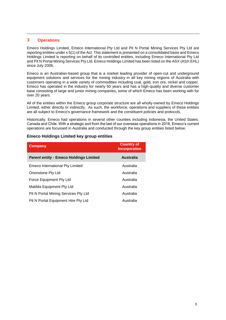## <span id="page-5-0"></span>**3 Operations**

Emeco Holdings Limited, Emeco International Pty Ltd and Pit N Portal Mining Services Pty Ltd are reporting entities under s 5(1) of the Act. This statement is presented on a consolidated basis and Emeco Holdings Limited is reporting on behalf of its controlled entities, including Emeco International Pty Ltd and Pit N Portal Mining Services Pty Ltd. Emeco Holdings Limited has been listed on the ASX (ASX:EHL) since July 2006.

Emeco is an Australian-based group that is a market leading provider of open-cut and underground equipment solutions and services for the mining industry in all key mining regions of Australia with customers operating in a wide variety of commodities including coal, gold, iron ore, nickel and copper. Emeco has operated in the industry for nearly 50 years and has a high-quality and diverse customer base consisting of large and junior mining companies, some of which Emeco has been working with for over 20 years.

All of the entities within the Emeco group corporate structure are all wholly-owned by Emeco Holdings Limited, either directly or indirectly. As such, the workforce, operations and suppliers of these entities are all subject to Emeco's governance framework and the constituent policies and protocols.

Historically, Emeco had operations in several other counties including Indonesia, the United States, Canada and Chile. With a strategic exit from the last of our overseas operations in 2018, Emeco's current operations are focussed in Australia and conducted through the key group entities listed below.

## **Emeco Holdings Limited key group entities**

| Company                                       | <b>Country of</b><br><b>Incorporation</b> |
|-----------------------------------------------|-------------------------------------------|
| <b>Parent entity - Emeco Holdings Limited</b> | <b>Australia</b>                          |
| Emeco International Pty Limited               | Australia                                 |
| Orionstone Pty Ltd                            | Australia                                 |
| Force Equipment Pty Ltd                       | Australia                                 |
| Matilda Equipment Pty Ltd                     | Australia                                 |
| Pit N Portal Mining Services Pty Ltd          | Australia                                 |
| Pit N Portal Equipment Hire Pty Ltd           | Australia                                 |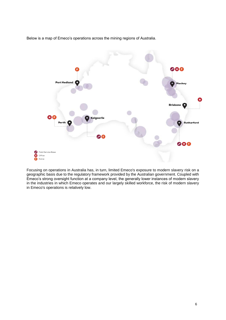Below is a map of Emeco's operations across the mining regions of Australia.



Focusing on operations in Australia has, in turn, limited Emeco's exposure to modern slavery risk on a geographic basis due to the regulatory framework provided by the Australian government. Coupled with Emeco's strong oversight function at a company level, the generally lower instances of modern slavery in the industries in which Emeco operates and our largely skilled workforce, the risk of modern slavery in Emeco's operations is relatively low.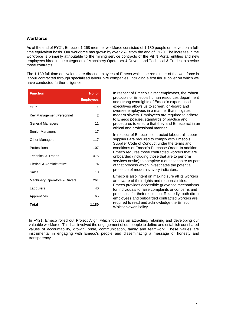## **Workforce**

As at the end of FY21, Emeco's 1,268 member workforce consisted of 1,180 people employed on a fulltime equivalent basis. Our workforce has grown by over 25% from the end of FY20. The increase in the workforce is primarily attributable to the mining service contracts of the Pit N Portal entities and new employees hired in the categories of Machinery Operators & Drivers and Technical & Trades to service those contracts.

The 1,180 full-time equivalents are direct employees of Emeco whilst the remainder of the workforce is labour contracted through specialised labour hire companies, including a first tier supplier on which we have conducted further diligence.

| <b>Function</b>               | No. of           |
|-------------------------------|------------------|
|                               | <b>Employees</b> |
| CEO                           | 1                |
| Key Management Personnel      | 2                |
| General Managers              | 11               |
| Senior Managers               | 17               |
| <b>Other Managers</b>         | 117              |
| Professional                  | 107              |
| <b>Technical &amp; Trades</b> | 475              |
| Clerical & Administrative     | 74               |
| Sales                         | 10               |
| Machinery Operators & Drivers | 261              |
| Labourers                     | 40               |
| Apprentices                   | 65               |
| Total                         | 1,180            |

In respect of Emeco's direct employees, the robust protocols of Emeco's human resources department and strong oversights of Emeco's experienced executives allows us to screen, on-board and oversee employees in a manner that mitigates modern slavery. Employees are required to adhere to Emeco policies, standards of practice and procedures to ensure that they and Emeco act in an ethical and professional manner.

In respect of Emeco's contracted labour, all labour suppliers are required to comply with Emeco's Supplier Code of Conduct under the terms and conditions of Emeco's Purchase Order. In addition, Emeco requires those contracted workers that are onboarded (including those that are to perform services onsite) to complete a questionnaire as part of that process which investigates the potential presence of modern slavery indicators.

Emeco is also intent on making sure all its workers are aware of their rights and responsibilities. Emeco provides accessible grievance mechanisms for individuals to raise complaints or concerns and processes for their resolution. Relatedly, both direct employees and onboarded contracted workers are required to read and acknowledge the Emeco Whistleblower Policy.

In FY21, Emeco rolled out Project Align, which focuses on attracting, retaining and developing our valuable workforce. This has involved the engagement of our people to define and establish our shared values of accountability, growth, pride, communication, family and teamwork. These values are instrumental in engaging with Emeco's people and disseminating a message of honesty and transparency.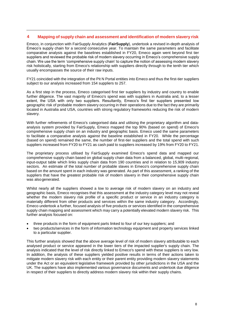## <span id="page-8-0"></span>**4 Mapping of supply chain and assessment and identification of modern slavery risk**

Emeco, in conjunction with FairSupply Analytics (**FairSupply**), undertook a revised in-depth analysis of Emeco's supply chain for a second consecutive year. To maintain the same parameters and facilitate comparative analysis against the baselines established in FY20, Emeco again went beyond first tier suppliers and reviewed the probable risk of modern slavery occurring in Emeco's comprehensive supply chain. We use the term 'comprehensive supply chain' to capture the notion of assessing modern slavery risk holistically, starting from Emeco's relationship with suppliers directly through to the tenth tier which usually encompasses the source of their raw inputs.

FY21 coincided with the integration of the Pit N Portal entities into Emeco and thus the first-tier suppliers subject to our analysis increased from 154 suppliers to 257.

As a first step in the process, Emeco categorised first tier suppliers by industry and country to enable further diligence. The vast majority of Emeco's spend was with suppliers in Australia and, to a lesser extent, the USA with only two suppliers. Resultantly, Emeco's first tier suppliers presented low geographic risk of probable modern slavery occurring in their operations due to the fact they are primarily located in Australia and USA, countries with strong regulatory frameworks reducing the risk of modern slavery.

With further refinements of Emeco's categorised data and utilising the proprietary algorithm and dataanalysis system provided by FairSupply, Emeco mapped the top 90% (based on spend) of Emeco's comprehensive supply chain on an industry and geographic basis. Emeco used the same parameters to facilitate a comparative analysis against the baseline established in FY20. While the percentage (based on spend) remained the same, the number of first-tier suppliers and the total spend with such suppliers increased from FY20 to FY21 as cash paid to suppliers increased by 19% from FY20 to FY21.

The proprietary process utilised by FairSupply examined Emeco's spend data and mapped our comprehensive supply chain based on global supply chain data from a balanced, global, multi-regional, input-output table which links supply chain data from 190 countries and in relation to 15,909 industry sectors. An estimate of the total number of probable slaves in Emeco's comprehensive supply chain based on the amount spent in each industry was generated. As part of this assessment, a ranking of the suppliers that have the greatest probable risk of modern slavery in their comprehensive supply chain was also generated.

Whilst nearly all the suppliers showed a low to average risk of modern slavery on an industry and geographic basis, Emeco recognises that this assessment at the industry category level may not reveal whether the modern slavery risk profile of a specific product or service in an industry category is materially different from other products and services within the same industry category. Accordingly, Emeco undertook a further, focused analysis of five products or services identified in the comprehensive supply chain mapping and assessment which may carry a potentially elevated modern slavery risk. This further analysis focused on:

- three products in the form of equipment parts linked to four of our key suppliers; and
- two products/services in the form of information technology equipment and property services linked to a particular supplier.

This further analysis showed that the above average level of risk of modern slavery attributable to each analysed product or service appeared in the lower tiers of the impacted supplier's supply chain. The analysis indicated that the level of risk directly linked to Emeco's spend with these suppliers is very low. In addition, the analysis of these suppliers yielded positive results in terms of their actions taken to mitigate modern slavery risk with each entity or their parent entity providing modern slavery statements under the Act or an equivalent legislative framework provided by other jurisdictions in the USA and the UK. The suppliers have also implemented various governance documents and undertook due diligence in respect of their suppliers to directly address modern slavery risk within their supply chains.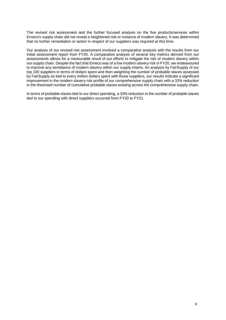The revised risk assessment and the further focused analysis on the five products/services within Emeco's supply chain did not reveal a heightened risk or instance of modern slavery. It was determined that no further remediation or action in respect of our suppliers was required at this time.

Our analysis of our revised risk assessment involved a comparative analysis with the results from our initial assessment report from FY20. A comparative analysis of several key metrics derived from our assessments allows for a measurable result of our efforts to mitigate the risk of modern slavery within our supply chain. Despite the fact that Emeco was of a low modern slavery risk in FY20, we endeavoured to improve any semblance of modern slavery within our supply chains. An analysis by FairSupply of our top 100 suppliers in terms of dollars spent and then weighting the number of probable slaves assessed by FairSupply as tied to every million dollars spent with those suppliers, our results indicate a significant improvement in the modern slavery risk profile of our comprehensive supply chain with a 32% reduction in the theorised number of cumulative probable slaves existing across the comprehensive supply chain.

In terms of probable slaves tied to our direct spending, a 33% reduction in the number of probable slaves tied to our spending with direct suppliers occurred from FY20 to FY21.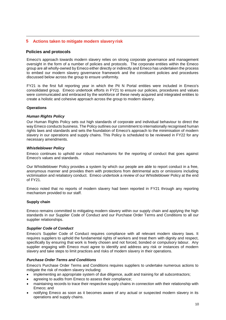## **5 Actions taken to mitigate modern slavery risk**

## **Policies and protocols**

Emeco's approach towards modern slavery relies on strong corporate governance and management oversight in the form of a number of policies and protocols. The corporate entities within the Emeco group are all wholly-owned by Emeco either directly or indirectly and Emeco has undertaken the process to embed our modern slavery governance framework and the constituent policies and procedures discussed below across the group to ensure uniformity.

FY21 is the first full reporting year in which the Pit N Portal entities were included in Emeco's consolidated group. Emeco undertook efforts in FY21 to ensure our policies, procedures and values were communicated and embraced by the workforce of these newly acquired and integrated entities to create a holistic and cohesive approach across the group to modern slavery.

## **Operations**

#### *Human Rights Policy*

Our Human Rights Policy sets out high standards of corporate and individual behaviour to direct the way Emeco conducts business. The Policy outlines our commitment to internationally recognised human rights laws and standards and sets the foundation of Emeco's approach to the minimisation of modern slavery in our operations and supply chains. This Policy is scheduled to be reviewed in FY22 for any necessary amendments.

#### *Whistleblower Policy*

Emeco continues to uphold our robust mechanisms for the reporting of conduct that goes against Emeco's values and standards.

Our Whistleblower Policy provides a system by which our people are able to report conduct in a free, anonymous manner and provides them with protections from detrimental acts or omissions including victimisation and retaliatory conduct. Emeco undertook a review of our Whistleblower Policy at the end of FY21.

Emeco noted that no reports of modern slavery had been reported in FY21 through any reporting mechanism provided to our staff.

#### **Supply chain**

Emeco remains committed to mitigating modern slavery within our supply chain and applying the high standards in our Supplier Code of Conduct and our Purchase Order Terms and Conditions to all our supplier relationships.

#### *Supplier Code of Conduct*

Emeco's Supplier Code of Conduct requires compliance with all relevant modern slavery laws. It requires suppliers to uphold the fundamental rights of workers and treat them with dignity and respect, specifically by ensuring that work is freely chosen and not forced, bonded or compulsory labour. Any supplier engaging with Emeco must agree to identify and address any risk or instances of modern slavery and take steps to limit practices and risks of modern slavery in their operations.

#### *Purchase Order Terms and Conditions*

Emeco's Purchase Order Terms and Conditions requires suppliers to undertake numerous actions to mitigate the risk of modern slavery including:

- implementing an appropriate system of due diligence, audit and training for all subcontractors;
- agreeing to audits from Emeco to assess their compliance;
- maintaining records to trace their respective supply chains in connection with their relationship with Emeco; and
- notifying Emeco as soon as it becomes aware of any actual or suspected modern slavery in its operations and supply chains.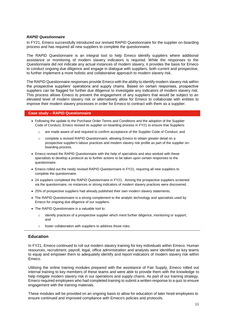#### *RAPID Questionnaire*

In FY21, Emeco successfully introduced our revised RAPID Questionnaire for the supplier on-boarding process and has required all new suppliers to complete the questionnaire.

The RAPID Questionnaire is an integral tool to help Emeco identify suppliers where additional assistance or monitoring of modern slavery indicators is required. While the responses to the Questionnaire did not indicate any actual instances of modern slavery, it provides the basis for Emeco to conduct ongoing due diligence and engage in dialogue with suppliers, both current and prospective, to further implement a more holistic and collaborative approach to modern slavery risk.

The RAPID Questionnaire responses provide Emeco with the ability to identify modern slavery risk within the prospective suppliers' operations and supply chains. Based on certain responses, prospective suppliers can be flagged for further due diligence to investigate any indicators of modern slavery risk. This process allows Emeco to prevent the engagement of any suppliers that would be subject to an elevated level of modern slavery risk or alternatively allow for Emeco to collaborate with entities to improve their modern slavery processes in order for Emeco to contract with them as a supplier.

#### **Case study – RAPID Questionnaire**

- Following the update to the Purchase Order Terms and Conditions and the adoption of the Supplier Code of Conduct, Emeco revised its supplier on-boarding process in FY21 to ensure that Suppliers:
	- o are made aware of and required to confirm acceptance of the Supplier Code of Conduct; and
	- o complete a revised RAPID Questionnaire, allowing Emeco to obtain greater detail on a prospective supplier's labour practices and modern slavery risk profile as part of the supplier onboarding process.
- Emeco revised the RAPID Questionnaire with the help of specialists and also worked with these specialists to develop a protocol as to further actions to be taken upon certain responses to the questionnaire.
- Emeco rolled out the newly revised RAPID Questionnaire in FY21, requiring all new suppliers to complete the questionnaire.
- 24 suppliers completed the RAPID Questionnaire in FY21. Among the prospective suppliers screened via the questionnaire, no instances or strong indicators of modern slavery practices were discovered.
- 25% of prospective suppliers had already published their own modern slavery statements.
- The RAPID Questionnaire is a strong complement to the analytic technology and specialists used by Emeco for ongoing due diligence of our suppliers.
- The RAPID Questionnaire is a valuable tool to:
	- o identify practices of a prospective supplier which merit further diligence, monitoring or support; and
	- o foster collaboration with suppliers to address those risks.

#### **Education**

In FY21, Emeco continued to roll out modern slavery training for key individuals within Emeco. Human resources, recruitment, payroll, legal, office administration and analysts were identified as key teams to equip and empower them to adequately identify and report indicators of modern slavery risk within Emeco.

Utilising the online training modules prepared with the assistance of Fair Supply, Emeco rolled out internal training to key members of these teams and were able to provide them with the knowledge to help mitigate modern slavery risk in our operations and supply chains. As part of our training strategy, Emeco required employees who had completed training to submit a written response to a quiz to ensure engagement with the training materials.

These modules will be provided on an ongoing basis to allow for education of later hired employees to ensure continued and improved compliance with Emeco's policies and protocols.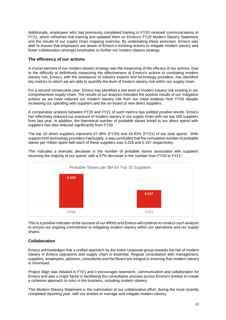Additionally, employees who had previously completed training in FY20 received communications in FY21, which refreshed that training and updated them on Emeco's FY20 Modern Slavery Statement and the results of our supply chain mapping exercise. By undertaking these exercises, Emeco was able to ensure that employees are aware of Emeco's evolving actions to mitigate modern slavery and foster collaboration amongst employees to further our modern slavery strategy.

## **The efficiency of our actions**

A crucial element of our modern slavery strategy was the measuring of the efficacy of our actions. Due to the difficulty of definitively measuring the effectiveness of Emeco's actions in combating modern slavery risk, Emeco, with the assistance of industry experts and technology providers, has identified key metrics to which we are able to quantify the level of modern slavery risk within our supply chain.

For a second consecutive year, Emeco has identified a low level of modern slavery risk existing in our comprehensive supply chain. The results of our analysis indicates the positive results of our mitigation actions as we have reduced our modern slavery risk from our initial analysis from FY20 despite increasing our spending with suppliers and the on-board of new direct suppliers.

A comparative analysis between FY20 and FY21 of such metrics has yielded positive results. Emeco has effectively reduced our exposure of modern slavery in our supply chain with our top 100 suppliers from last year. In addition, the theoretical number of probable slaves linked to our direct spend with suppliers has also reduced significantly from FY20.

The top 10 direct suppliers represent 57.39% (FY20) and 54.82% (FY21) of our total spend. With support from technology providers FairSupply, it was concluded that the cumulative number of probable slaves per million spent with each of these suppliers was 0.318 and 0.167 respectively.

This indicates a dramatic decrease in the number of probable slaves associated with suppliers receiving the majority of our spend, with a 47% decrease in the number from FY20 to FY21.



This is a positive indicator of the success of our efforts and Emeco will continue to conduct such analysis to ensure our ongoing commitment to mitigating modern slavery within our operations and our supply chains.

## **Collaboration**

Emeco acknowledges that a unified approach by the entire corporate group towards the risk of modern slavery in Emeco operations and supply chain is essential. Regular consultation with management, suppliers, employees, advisors, consultants and the Board are integral in ensuring that modern slavery is minimised.

Project Align was initiated in FY21 and it encourages teamwork, communication and collaboration for Emeco and was a major factor in facilitating the consultative process across Emeco's entities to create a cohesive approach to risks in the business, including modern slavery.

This Modern Slavery Statement is the culmination of our collaborative effort, during the most recently completed reporting year, with our entities to manage and mitigate modern slavery.